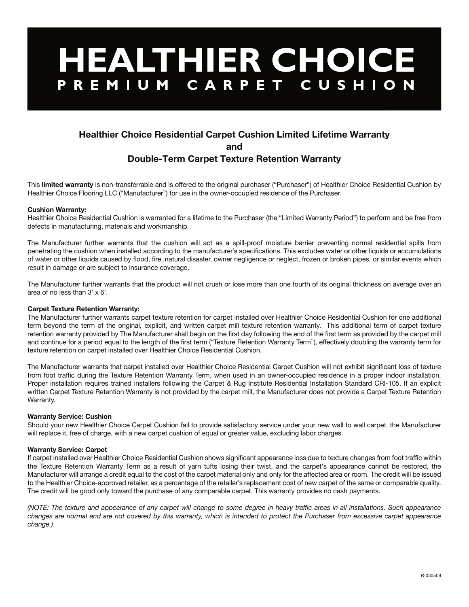# HEALTHIER CHOICE

# **Healthier Choice Residential Carpet Cushion Limited Lifetime Warranty**

**and**

# **Double-Term Carpet Texture Retention Warranty**

This **limited warranty** is non-transferrable and is offered to the original purchaser ("Purchaser") of Healthier Choice Residential Cushion by Healthier Choice Flooring LLC ("Manufacturer") for use in the owner-occupied residence of the Purchaser.

## **Cushion Warranty:**

Healthier Choice Residential Cushion is warranted for a lifetime to the Purchaser (the "Limited Warranty Period") to perform and be free from defects in manufacturing, materials and workmanship.

The Manufacturer further warrants that the cushion will act as a spill-proof moisture barrier preventing normal residential spills from penetrating the cushion when installed according to the manufacturer's specifications. This excludes water or other liquids or accumulations of water or other liquids caused by flood, fire, natural disaster, owner negligence or neglect, frozen or broken pipes, or similar events which result in damage or are subject to insurance coverage.

The Manufacturer further warrants that the product will not crush or lose more than one fourth of its original thickness on average over an area of no less than 3' x 6'.

## **Carpet Texture Retention Warranty:**

The Manufacturer further warrants carpet texture retention for carpet installed over Healthier Choice Residential Cushion for one additional term beyond the term of the original, explicit, and written carpet mill texture retention warranty. This additional term of carpet texture retention warranty provided by The Manufacturer shall begin on the first day following the end of the first term as provided by the carpet mill and continue for a period equal to the length of the first term ("Texture Retention Warranty Term"), effectively doubling the warranty term for texture retention on carpet installed over Healthier Choice Residential Cushion.

The Manufacturer warrants that carpet installed over Healthier Choice Residential Carpet Cushion will not exhibit significant loss of texture from foot traffic during the Texture Retention Warranty Term, when used in an owner-occupied residence in a proper indoor installation. Proper installation requires trained installers following the Carpet & Rug Institute Residential Installation Standard CRI-105. If an explicit written Carpet Texture Retention Warranty is not provided by the carpet mill, the Manufacturer does not provide a Carpet Texture Retention Warranty.

### **Warranty Service: Cushion**

Should your new Healthier Choice Carpet Cushion fail to provide satisfactory service under your new wall to wall carpet, the Manufacturer will replace it, free of charge, with a new carpet cushion of equal or greater value, excluding labor charges.

### **Warranty Service: Carpet**

If carpet installed over Healthier Choice Residential Cushion shows significant appearance loss due to texture changes from foot traffic within the Texture Retention Warranty Term as a result of yarn tufts losing their twist, and the carpet's appearance cannot be restored, the Manufacturer will arrange a credit equal to the cost of the carpet material only and only for the affected area or room. The credit will be issued to the Healthier Choice-approved retailer, as a percentage of the retailer's replacement cost of new carpet of the same or comparable quality. The credit will be good only toward the purchase of any comparable carpet. This warranty provides no cash payments.

*(NOTE: The texture and appearance of any carpet will change to some degree in heavy traffic areas in all installations. Such appearance changes are normal and are not covered by this warranty, which is intended to protect the Purchaser from excessive carpet appearance change.)*